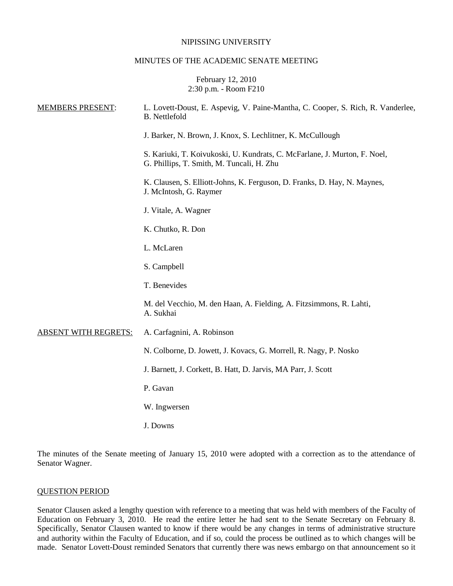#### NIPISSING UNIVERSITY

#### MINUTES OF THE ACADEMIC SENATE MEETING

### February 12, 2010 2:30 p.m. - Room F210

| <b>MEMBERS PRESENT:</b>     | L. Lovett-Doust, E. Aspevig, V. Paine-Mantha, C. Cooper, S. Rich, R. Vanderlee,<br><b>B.</b> Nettlefold                |
|-----------------------------|------------------------------------------------------------------------------------------------------------------------|
|                             | J. Barker, N. Brown, J. Knox, S. Lechlitner, K. McCullough                                                             |
|                             | S. Kariuki, T. Koivukoski, U. Kundrats, C. McFarlane, J. Murton, F. Noel,<br>G. Phillips, T. Smith, M. Tuncali, H. Zhu |
|                             | K. Clausen, S. Elliott-Johns, K. Ferguson, D. Franks, D. Hay, N. Maynes,<br>J. McIntosh, G. Raymer                     |
|                             | J. Vitale, A. Wagner                                                                                                   |
|                             | K. Chutko, R. Don                                                                                                      |
|                             | L. McLaren                                                                                                             |
|                             | S. Campbell                                                                                                            |
|                             | T. Benevides                                                                                                           |
|                             | M. del Vecchio, M. den Haan, A. Fielding, A. Fitzsimmons, R. Lahti,<br>A. Sukhai                                       |
| <b>ABSENT WITH REGRETS:</b> | A. Carfagnini, A. Robinson                                                                                             |
|                             | N. Colborne, D. Jowett, J. Kovacs, G. Morrell, R. Nagy, P. Nosko                                                       |
|                             | J. Barnett, J. Corkett, B. Hatt, D. Jarvis, MA Parr, J. Scott                                                          |
|                             | P. Gavan                                                                                                               |
|                             | W. Ingwersen                                                                                                           |
|                             | J. Downs                                                                                                               |

The minutes of the Senate meeting of January 15, 2010 were adopted with a correction as to the attendance of Senator Wagner.

### QUESTION PERIOD

Senator Clausen asked a lengthy question with reference to a meeting that was held with members of the Faculty of Education on February 3, 2010. He read the entire letter he had sent to the Senate Secretary on February 8. Specifically, Senator Clausen wanted to know if there would be any changes in terms of administrative structure and authority within the Faculty of Education, and if so, could the process be outlined as to which changes will be made. Senator Lovett-Doust reminded Senators that currently there was news embargo on that announcement so it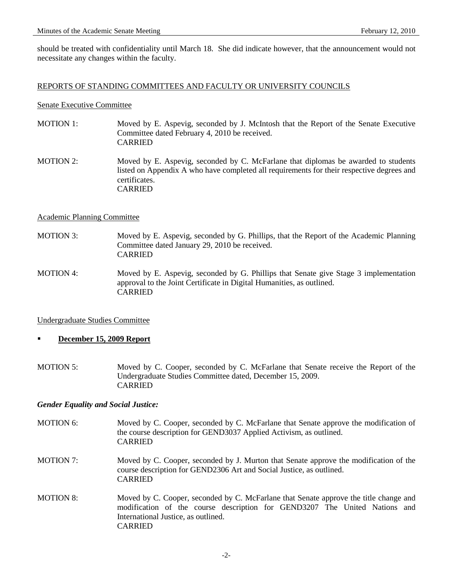should be treated with confidentiality until March 18. She did indicate however, that the announcement would not necessitate any changes within the faculty.

### REPORTS OF STANDING COMMITTEES AND FACULTY OR UNIVERSITY COUNCILS

#### Senate Executive Committee

- MOTION 1: Moved by E. Aspevig, seconded by J. McIntosh that the Report of the Senate Executive Committee dated February 4, 2010 be received. CARRIED
- MOTION 2: Moved by E. Aspevig, seconded by C. McFarlane that diplomas be awarded to students listed on Appendix A who have completed all requirements for their respective degrees and certificates. CARRIED

#### Academic Planning Committee

- MOTION 3: Moved by E. Aspevig, seconded by G. Phillips, that the Report of the Academic Planning Committee dated January 29, 2010 be received. CARRIED
- MOTION 4:Moved by E. Aspevig, seconded by G. Phillips that Senate give Stage 3 implementation approval to the Joint Certificate in Digital Humanities, as outlined. CARRIED

# Undergraduate Studies Committee

- **December 15, 2009 Report**
- MOTION 5: Moved by C. Cooper, seconded by C. McFarlane that Senate receive the Report of the Undergraduate Studies Committee dated, December 15, 2009. CARRIED

#### *Gender Equality and Social Justice:*

- MOTION 6: Moved by C. Cooper, seconded by C. McFarlane that Senate approve the modification of the course description for GEND3037 Applied Activism, as outlined. CARRIED
- MOTION 7: Moved by C. Cooper, seconded by J. Murton that Senate approve the modification of the course description for GEND2306 Art and Social Justice, as outlined. CARRIED
- MOTION 8: Moved by C. Cooper, seconded by C. McFarlane that Senate approve the title change and modification of the course description for GEND3207 The United Nations and International Justice, as outlined. CARRIED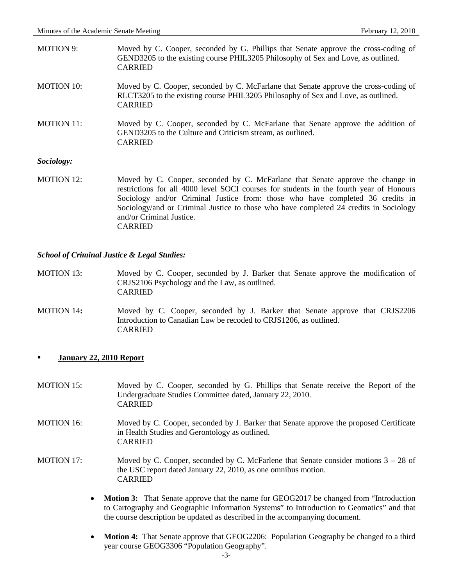| MOTION 9:         | Moved by C. Cooper, seconded by G. Phillips that Senate approve the cross-coding of                                                                                       |
|-------------------|---------------------------------------------------------------------------------------------------------------------------------------------------------------------------|
|                   | GEND3205 to the existing course PHIL3205 Philosophy of Sex and Love, as outlined.<br><b>CARRIED</b>                                                                       |
| <b>MOTION 10:</b> | Moved by C. Cooper, seconded by C. McFarlane that Senate approve the cross-coding of                                                                                      |
|                   | RLCT3205 to the existing course PHIL3205 Philosophy of Sex and Love, as outlined.<br><b>CARRIED</b>                                                                       |
| <b>MOTION 11:</b> | Moved by C. Cooper, seconded by C. McFarlane that Senate approve the addition of                                                                                          |
|                   | GEND3205 to the Culture and Criticism stream, as outlined.<br><b>CARRIED</b>                                                                                              |
| Sociology:        |                                                                                                                                                                           |
| <b>MOTION 12:</b> | Moved by C. Cooper, seconded by C. McFarlane that Senate approve the change in                                                                                            |
|                   | restrictions for all 4000 level SOCI courses for students in the fourth year of Honours<br>Sociology and/or Criminal Justice from: those who have completed 36 credits in |
|                   | Sociology/and or Criminal Justice to those who have completed 24 credits in Sociology                                                                                     |

### *School of Criminal Justice & Legal Studies:*

and/or Criminal Justice.

CARRIED

- MOTION 13: Moved by C. Cooper, seconded by J. Barker that Senate approve the modification of CRJS2106 Psychology and the Law, as outlined. CARRIED
- MOTION 14**:** Moved by C. Cooper, seconded by J. Barker **t**hat Senate approve that CRJS2206 Introduction to Canadian Law be recoded to CRJS1206, as outlined. CARRIED
- **January 22, 2010 Report**
- MOTION 15: Moved by C. Cooper, seconded by G. Phillips that Senate receive the Report of the Undergraduate Studies Committee dated, January 22, 2010. CARRIED
- MOTION 16: Moved by C. Cooper, seconded by J. Barker that Senate approve the proposed Certificate in Health Studies and Gerontology as outlined. CARRIED
- MOTION 17: Moved by C. Cooper, seconded by C. McFarlene that Senate consider motions 3 28 of the USC report dated January 22, 2010, as one omnibus motion. CARRIED
	- **Motion 3:** That Senate approve that the name for GEOG2017 be changed from "Introduction" to Cartography and Geographic Information Systems" to Introduction to Geomatics" and that the course description be updated as described in the accompanying document.
	- **Motion 4:** That Senate approve that GEOG2206: Population Geography be changed to a third year course GEOG3306 "Population Geography".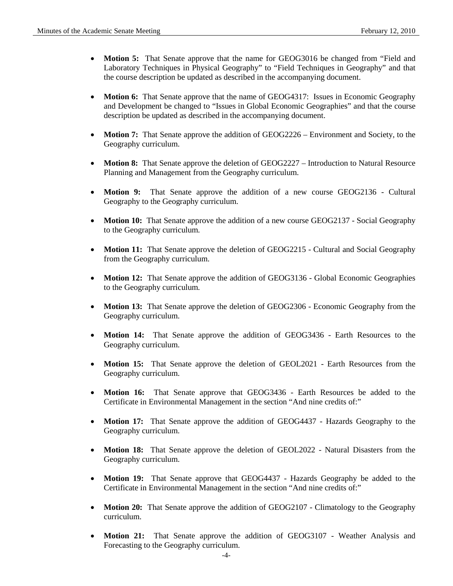- **Motion 5:** That Senate approve that the name for GEOG3016 be changed from "Field and Laboratory Techniques in Physical Geography" to "Field Techniques in Geography" and that the course description be updated as described in the accompanying document.
- **Motion 6:** That Senate approve that the name of GEOG4317: Issues in Economic Geography and Development be changed to "Issues in Global Economic Geographies" and that the course description be updated as described in the accompanying document.
- **Motion 7:** That Senate approve the addition of GEOG2226 Environment and Society, to the Geography curriculum.
- **Motion 8:** That Senate approve the deletion of GEOG2227 Introduction to Natural Resource Planning and Management from the Geography curriculum.
- **Motion 9:** That Senate approve the addition of a new course GEOG2136 Cultural Geography to the Geography curriculum.
- **Motion 10:** That Senate approve the addition of a new course GEOG2137 Social Geography to the Geography curriculum.
- **Motion 11:** That Senate approve the deletion of GEOG2215 Cultural and Social Geography from the Geography curriculum.
- **Motion 12:** That Senate approve the addition of GEOG3136 Global Economic Geographies to the Geography curriculum.
- **Motion 13:** That Senate approve the deletion of GEOG2306 Economic Geography from the Geography curriculum.
- **Motion 14:** That Senate approve the addition of GEOG3436 Earth Resources to the Geography curriculum.
- **Motion 15:** That Senate approve the deletion of GEOL2021 Earth Resources from the Geography curriculum.
- **Motion 16:** That Senate approve that GEOG3436 Earth Resources be added to the Certificate in Environmental Management in the section "And nine credits of:"
- **Motion 17:** That Senate approve the addition of GEOG4437 Hazards Geography to the Geography curriculum.
- **Motion 18:** That Senate approve the deletion of GEOL2022 Natural Disasters from the Geography curriculum.
- **Motion 19:** That Senate approve that GEOG4437 Hazards Geography be added to the Certificate in Environmental Management in the section "And nine credits of:"
- **Motion 20:** That Senate approve the addition of GEOG2107 Climatology to the Geography curriculum.
- **Motion 21:** That Senate approve the addition of GEOG3107 Weather Analysis and Forecasting to the Geography curriculum.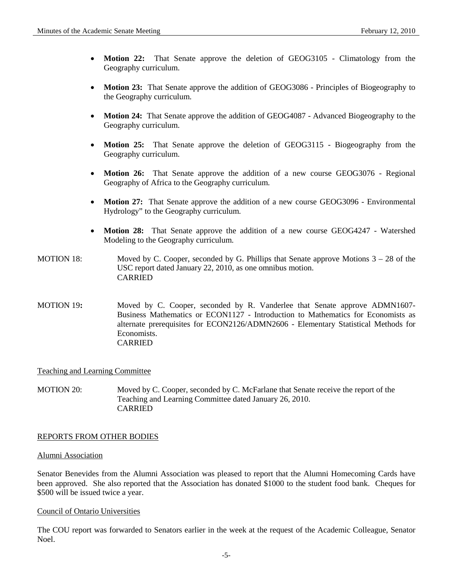- **Motion 22:** That Senate approve the deletion of GEOG3105 Climatology from the Geography curriculum.
- **Motion 23:** That Senate approve the addition of GEOG3086 Principles of Biogeography to the Geography curriculum.
- **Motion 24:** That Senate approve the addition of GEOG4087 Advanced Biogeography to the Geography curriculum.
- **Motion 25:** That Senate approve the deletion of GEOG3115 Biogeography from the Geography curriculum.
- **Motion 26:** That Senate approve the addition of a new course GEOG3076 Regional Geography of Africa to the Geography curriculum.
- **Motion 27:** That Senate approve the addition of a new course GEOG3096 Environmental Hydrology" to the Geography curriculum.
- **Motion 28:** That Senate approve the addition of a new course GEOG4247 Watershed Modeling to the Geography curriculum.
- MOTION 18: Moved by C. Cooper, seconded by G. Phillips that Senate approve Motions 3 28 of the USC report dated January 22, 2010, as one omnibus motion. CARRIED
- MOTION 19: Moved by C. Cooper, seconded by R. Vanderlee that Senate approve ADMN1607-Business Mathematics or ECON1127 - Introduction to Mathematics for Economists as alternate prerequisites for ECON2126/ADMN2606 - Elementary Statistical Methods for Economists. CARRIED

# Teaching and Learning Committee

MOTION 20: Moved by C. Cooper, seconded by C. McFarlane that Senate receive the report of the Teaching and Learning Committee dated January 26, 2010. CARRIED

# REPORTS FROM OTHER BODIES

# Alumni Association

Senator Benevides from the Alumni Association was pleased to report that the Alumni Homecoming Cards have been approved. She also reported that the Association has donated \$1000 to the student food bank. Cheques for \$500 will be issued twice a year.

# Council of Ontario Universities

The COU report was forwarded to Senators earlier in the week at the request of the Academic Colleague, Senator Noel.